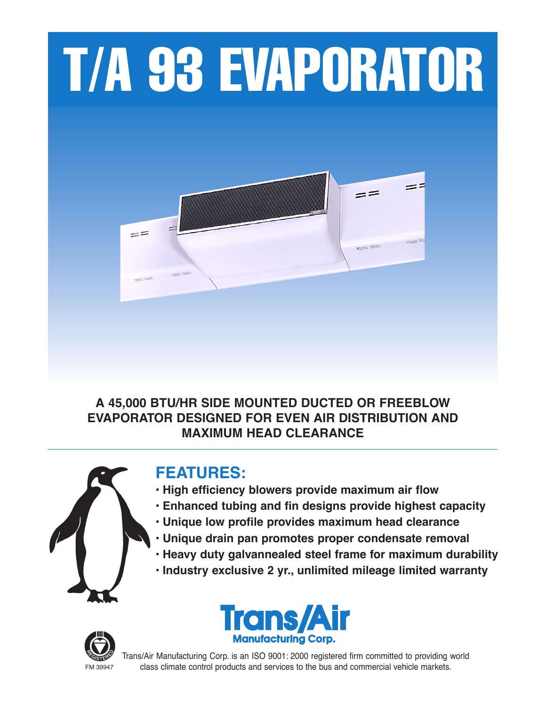# T/A 93 EVAPORATOR



### **A 45,000 BTU/HR SIDE MOUNTED DUCTED OR FREEBLOW EVAPORATOR DESIGNED FOR EVEN AIR DISTRIBUTION AND MAXIMUM HEAD CLEARANCE**



## **FEATURES:**

- **• High efficiency blowers provide maximum air flow**
- **• Enhanced tubing and fin designs provide highest capacity**
- **• Unique low profile provides maximum head clearance**
- **• Unique drain pan promotes proper condensate removal**
- **• Heavy duty galvannealed steel frame for maximum durability**
- **• Industry exclusive 2 yr., unlimited mileage limited warranty**





Trans/Air Manufacturing Corp. is an ISO 9001: 2000 registered firm committed to providing world FM 39947 class climate control products and services to the bus and commercial vehicle markets.